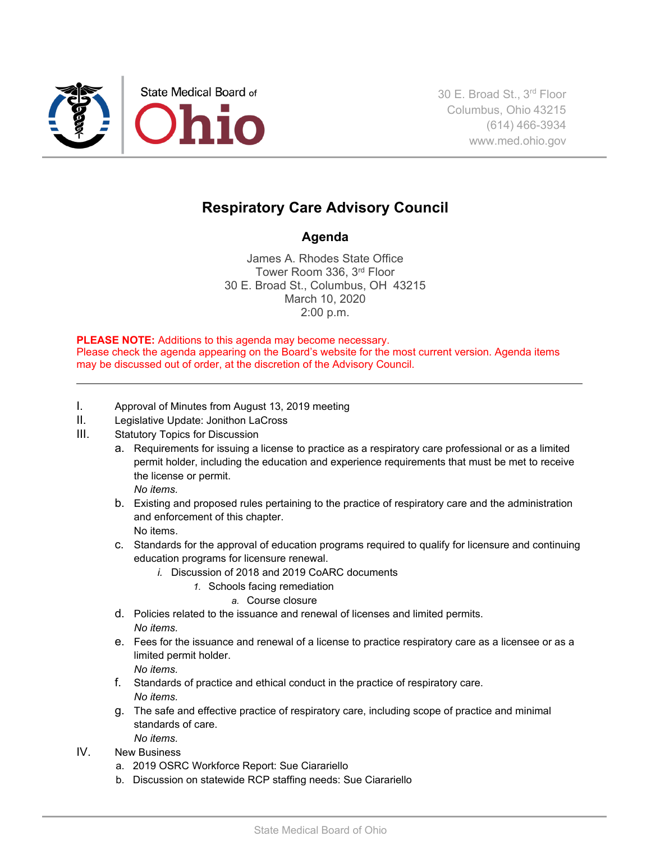

## **Respiratory Care Advisory Council**

## **Agenda**

James A. Rhodes State Office Tower Room 336, 3rd Floor 30 E. Broad St., Columbus, OH 43215 March 10, 2020 2:00 p.m.

**PLEASE NOTE:** Additions to this agenda may become necessary. Please check the agenda appearing on the Board's website for the most current version. Agenda items may be discussed out of order, at the discretion of the Advisory Council.

- I. Approval of Minutes from August 13, 2019 meeting
- II. Legislative Update: Jonithon LaCross
- III. Statutory Topics for Discussion
	- a. Requirements for issuing a license to practice as a respiratory care professional or as a limited permit holder, including the education and experience requirements that must be met to receive the license or permit. *No items.*
	- b. Existing and proposed rules pertaining to the practice of respiratory care and the administration and enforcement of this chapter. No items.
	- c. Standards for the approval of education programs required to qualify for licensure and continuing education programs for licensure renewal.
		- *i.* Discussion of 2018 and 2019 CoARC documents
			- *1.* Schools facing remediation
				- *a.* Course closure
	- d. Policies related to the issuance and renewal of licenses and limited permits. *No items.*
	- e. Fees for the issuance and renewal of a license to practice respiratory care as a licensee or as a limited permit holder.

*No items.*

- f. Standards of practice and ethical conduct in the practice of respiratory care. *No items.*
- g. The safe and effective practice of respiratory care, including scope of practice and minimal standards of care. *No items.*
- IV. New Business
	- a. 2019 OSRC Workforce Report: Sue Ciarariello
	- b. Discussion on statewide RCP staffing needs: Sue Ciarariello